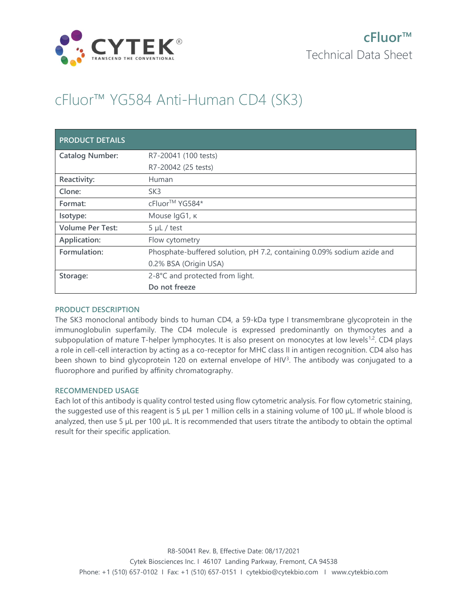

# cFluor™ YG584 Anti-Human CD4 (SK3)

| <b>PRODUCT DETAILS</b>  |                                                                        |
|-------------------------|------------------------------------------------------------------------|
| <b>Catalog Number:</b>  | R7-20041 (100 tests)                                                   |
|                         | R7-20042 (25 tests)                                                    |
| Reactivity:             | Human                                                                  |
| Clone:                  | SK <sub>3</sub>                                                        |
| Format:                 | cFluor <sup>™</sup> YG584*                                             |
| Isotype:                | Mouse IgG1, к                                                          |
| <b>Volume Per Test:</b> | $5 \mu L$ / test                                                       |
| Application:            | Flow cytometry                                                         |
| Formulation:            | Phosphate-buffered solution, pH 7.2, containing 0.09% sodium azide and |
|                         | 0.2% BSA (Origin USA)                                                  |
| Storage:                | 2-8°C and protected from light.                                        |
|                         | Do not freeze                                                          |

## PRODUCT DESCRIPTION

The SK3 monoclonal antibody binds to human CD4, a 59-kDa type I transmembrane glycoprotein in the immunoglobulin superfamily. The CD4 molecule is expressed predominantly on thymocytes and a subpopulation of mature T-helper lymphocytes. It is also present on monocytes at low levels<sup>1,2</sup>. CD4 plays a role in cell-cell interaction by acting as a co-receptor for MHC class II in antigen recognition. CD4 also has been shown to bind glycoprotein 120 on external envelope of HIV<sup>3</sup>. The antibody was conjugated to a fluorophore and purified by affinity chromatography.

## RECOMMENDED USAGE

Each lot of this antibody is quality control tested using flow cytometric analysis. For flow cytometric staining, the suggested use of this reagent is 5 µL per 1 million cells in a staining volume of 100 µL. If whole blood is analyzed, then use 5 µL per 100 µL. It is recommended that users titrate the antibody to obtain the optimal result for their specific application.